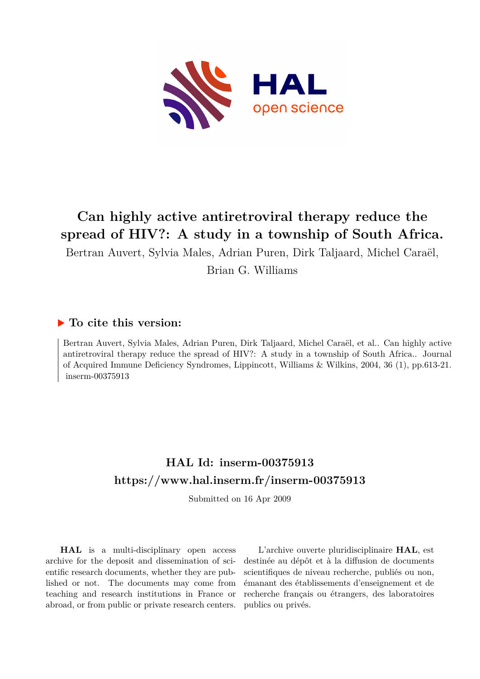

# **Can highly active antiretroviral therapy reduce the spread of HIV?: A study in a township of South Africa.**

Bertran Auvert, Sylvia Males, Adrian Puren, Dirk Taljaard, Michel Caraël,

Brian G. Williams

### **To cite this version:**

Bertran Auvert, Sylvia Males, Adrian Puren, Dirk Taljaard, Michel Caraël, et al.. Can highly active antiretroviral therapy reduce the spread of HIV?: A study in a township of South Africa.. Journal of Acquired Immune Deficiency Syndromes, Lippincott, Williams & Wilkins, 2004, 36 (1), pp.613-21.  $inserm-00375913$ 

## **HAL Id: inserm-00375913 <https://www.hal.inserm.fr/inserm-00375913>**

Submitted on 16 Apr 2009

**HAL** is a multi-disciplinary open access archive for the deposit and dissemination of scientific research documents, whether they are published or not. The documents may come from teaching and research institutions in France or abroad, or from public or private research centers.

L'archive ouverte pluridisciplinaire **HAL**, est destinée au dépôt et à la diffusion de documents scientifiques de niveau recherche, publiés ou non, émanant des établissements d'enseignement et de recherche français ou étrangers, des laboratoires publics ou privés.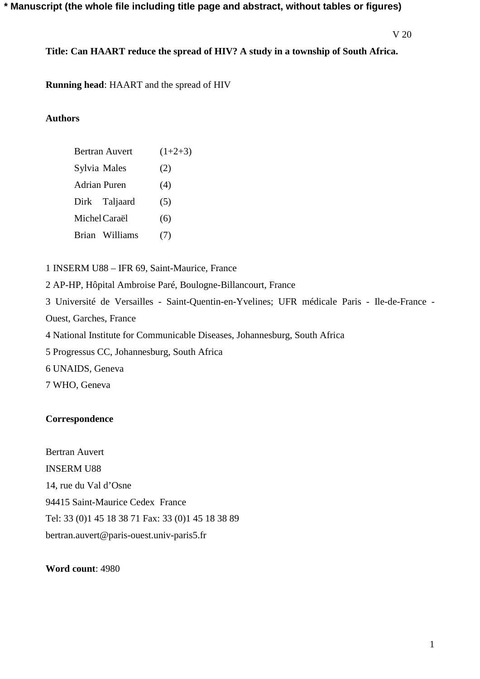### **\* Manuscript (the whole file including title page and abstract, without tables or figures)**

V 20

**Title: Can HAART reduce the spread of HIV? A study in a township of South Africa.** 

**Running head**: HAART and the spread of HIV

### **Authors**

|               | Bertran Auvert | $(1+2+3)$ |
|---------------|----------------|-----------|
| Sylvia Males  |                | (2)       |
| Adrian Puren  |                | (4)       |
|               | Dirk Taljaard  | (5)       |
| Michel Caraël |                | (6)       |
|               | Brian Williams | (7)       |
|               |                |           |

1 INSERM U88 – IFR 69, Saint-Maurice, France

2 AP-HP, Hôpital Ambroise Paré, Boulogne-Billancourt, France

3 Université de Versailles - Saint-Quentin-en-Yvelines; UFR médicale Paris - Ile-de-France - Ouest, Garches, France

4 National Institute for Communicable Diseases, Johannesburg, South Africa

5 Progressus CC, Johannesburg, South Africa

6 UNAIDS, Geneva

7 WHO, Geneva

### **Correspondence**

Bertran Auvert INSERM U88 14, rue du Val d'Osne 94415 Saint-Maurice Cedex France Tel: 33 (0)1 45 18 38 71 Fax: 33 (0)1 45 18 38 89 bertran.auvert@paris-ouest.univ-paris5.fr

### **Word count**: 4980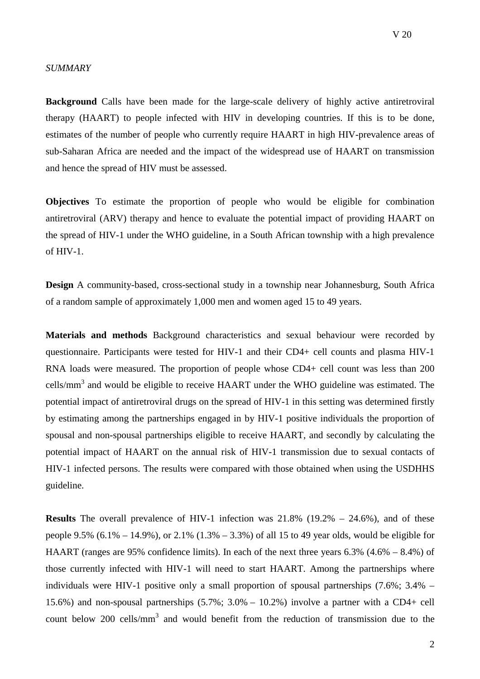### *SUMMARY*

**Background** Calls have been made for the large-scale delivery of highly active antiretroviral therapy (HAART) to people infected with HIV in developing countries. If this is to be done, estimates of the number of people who currently require HAART in high HIV-prevalence areas of sub-Saharan Africa are needed and the impact of the widespread use of HAART on transmission and hence the spread of HIV must be assessed.

**Objectives** To estimate the proportion of people who would be eligible for combination antiretroviral (ARV) therapy and hence to evaluate the potential impact of providing HAART on the spread of HIV-1 under the WHO guideline, in a South African township with a high prevalence of HIV-1.

**Design** A community-based, cross-sectional study in a township near Johannesburg, South Africa of a random sample of approximately 1,000 men and women aged 15 to 49 years.

**Materials and methods** Background characteristics and sexual behaviour were recorded by questionnaire. Participants were tested for HIV-1 and their CD4+ cell counts and plasma HIV-1 RNA loads were measured. The proportion of people whose CD4+ cell count was less than 200 cells/mm<sup>3</sup> and would be eligible to receive HAART under the WHO guideline was estimated. The potential impact of antiretroviral drugs on the spread of HIV-1 in this setting was determined firstly by estimating among the partnerships engaged in by HIV-1 positive individuals the proportion of spousal and non-spousal partnerships eligible to receive HAART, and secondly by calculating the potential impact of HAART on the annual risk of HIV-1 transmission due to sexual contacts of HIV-1 infected persons. The results were compared with those obtained when using the USDHHS guideline.

**Results** The overall prevalence of HIV-1 infection was 21.8% (19.2% – 24.6%), and of these people 9.5%  $(6.1\% - 14.9\%)$ , or  $2.1\%$   $(1.3\% - 3.3\%)$  of all 15 to 49 year olds, would be eligible for HAART (ranges are 95% confidence limits). In each of the next three years 6.3% (4.6% – 8.4%) of those currently infected with HIV-1 will need to start HAART. Among the partnerships where individuals were HIV-1 positive only a small proportion of spousal partnerships (7.6%; 3.4% – 15.6%) and non-spousal partnerships (5.7%; 3.0% – 10.2%) involve a partner with a CD4+ cell count below 200 cells/mm<sup>3</sup> and would benefit from the reduction of transmission due to the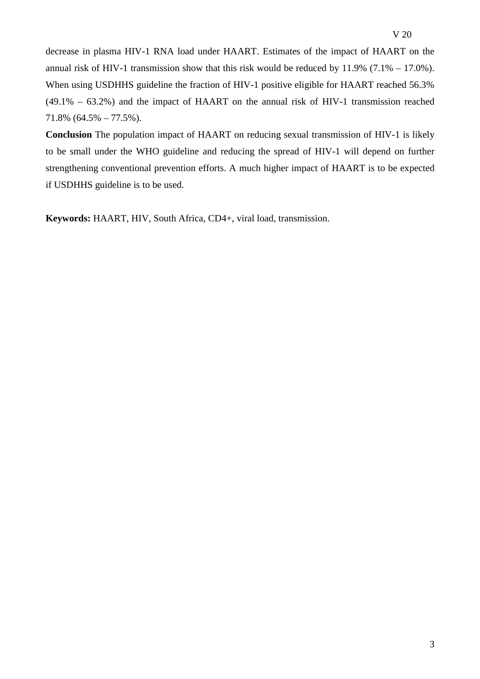decrease in plasma HIV-1 RNA load under HAART. Estimates of the impact of HAART on the annual risk of HIV-1 transmission show that this risk would be reduced by  $11.9\%$  (7.1% – 17.0%). When using USDHHS guideline the fraction of HIV-1 positive eligible for HAART reached 56.3% (49.1% – 63.2%) and the impact of HAART on the annual risk of HIV-1 transmission reached 71.8% (64.5% – 77.5%).

**Conclusion** The population impact of HAART on reducing sexual transmission of HIV-1 is likely to be small under the WHO guideline and reducing the spread of HIV-1 will depend on further strengthening conventional prevention efforts. A much higher impact of HAART is to be expected if USDHHS guideline is to be used.

**Keywords:** HAART, HIV, South Africa, CD4+, viral load, transmission.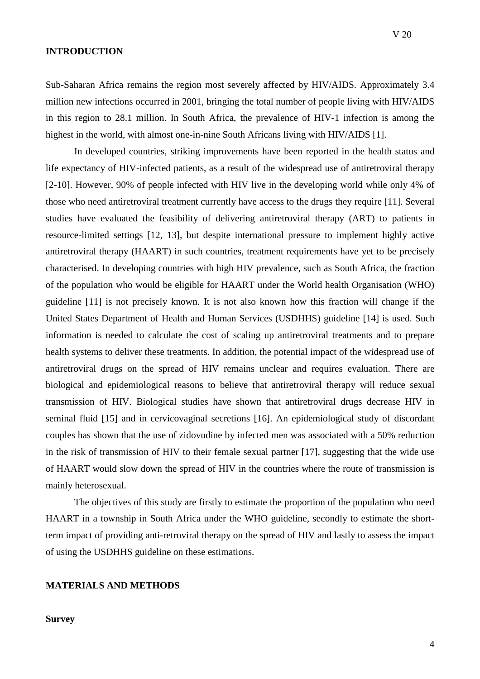### **INTRODUCTION**

Sub-Saharan Africa remains the region most severely affected by HIV/AIDS. Approximately 3.4 million new infections occurred in 2001, bringing the total number of people living with HIV/AIDS in this region to 28.1 million. In South Africa, the prevalence of HIV-1 infection is among the highest in the world, with almost one-in-nine South Africans living with HIV/AIDS [1].

In developed countries, striking improvements have been reported in the health status and life expectancy of HIV-infected patients, as a result of the widespread use of antiretroviral therapy [2-10]. However, 90% of people infected with HIV live in the developing world while only 4% of those who need antiretroviral treatment currently have access to the drugs they require [11]. Several studies have evaluated the feasibility of delivering antiretroviral therapy (ART) to patients in resource-limited settings [12, 13], but despite international pressure to implement highly active antiretroviral therapy (HAART) in such countries, treatment requirements have yet to be precisely characterised. In developing countries with high HIV prevalence, such as South Africa, the fraction of the population who would be eligible for HAART under the World health Organisation (WHO) guideline [11] is not precisely known. It is not also known how this fraction will change if the United States Department of Health and Human Services (USDHHS) guideline [14] is used. Such information is needed to calculate the cost of scaling up antiretroviral treatments and to prepare health systems to deliver these treatments. In addition, the potential impact of the widespread use of antiretroviral drugs on the spread of HIV remains unclear and requires evaluation. There are biological and epidemiological reasons to believe that antiretroviral therapy will reduce sexual transmission of HIV. Biological studies have shown that antiretroviral drugs decrease HIV in seminal fluid [15] and in cervicovaginal secretions [16]. An epidemiological study of discordant couples has shown that the use of zidovudine by infected men was associated with a 50% reduction in the risk of transmission of HIV to their female sexual partner [17], suggesting that the wide use of HAART would slow down the spread of HIV in the countries where the route of transmission is mainly heterosexual.

The objectives of this study are firstly to estimate the proportion of the population who need HAART in a township in South Africa under the WHO guideline, secondly to estimate the shortterm impact of providing anti-retroviral therapy on the spread of HIV and lastly to assess the impact of using the USDHHS guideline on these estimations.

#### **MATERIALS AND METHODS**

### **Survey**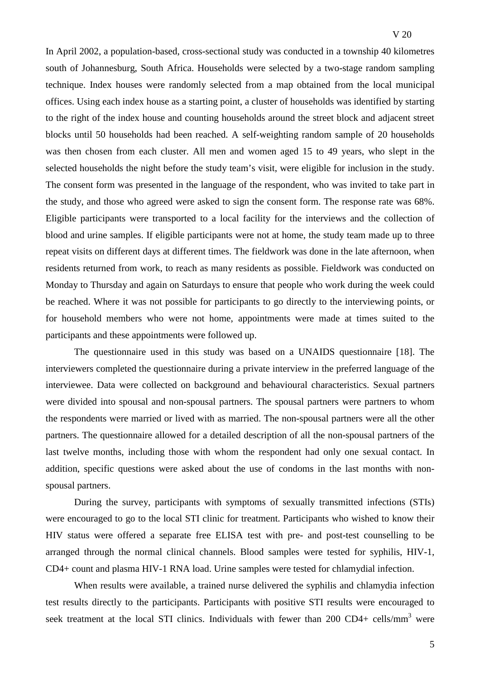In April 2002, a population-based, cross-sectional study was conducted in a township 40 kilometres south of Johannesburg, South Africa. Households were selected by a two-stage random sampling technique. Index houses were randomly selected from a map obtained from the local municipal offices. Using each index house as a starting point, a cluster of households was identified by starting to the right of the index house and counting households around the street block and adjacent street blocks until 50 households had been reached. A self-weighting random sample of 20 households was then chosen from each cluster. All men and women aged 15 to 49 years, who slept in the selected households the night before the study team's visit, were eligible for inclusion in the study. The consent form was presented in the language of the respondent, who was invited to take part in the study, and those who agreed were asked to sign the consent form. The response rate was 68%. Eligible participants were transported to a local facility for the interviews and the collection of blood and urine samples. If eligible participants were not at home, the study team made up to three repeat visits on different days at different times. The fieldwork was done in the late afternoon, when residents returned from work, to reach as many residents as possible. Fieldwork was conducted on Monday to Thursday and again on Saturdays to ensure that people who work during the week could be reached. Where it was not possible for participants to go directly to the interviewing points, or for household members who were not home, appointments were made at times suited to the participants and these appointments were followed up.

The questionnaire used in this study was based on a UNAIDS questionnaire [18]. The interviewers completed the questionnaire during a private interview in the preferred language of the interviewee. Data were collected on background and behavioural characteristics. Sexual partners were divided into spousal and non-spousal partners. The spousal partners were partners to whom the respondents were married or lived with as married. The non-spousal partners were all the other partners. The questionnaire allowed for a detailed description of all the non-spousal partners of the last twelve months, including those with whom the respondent had only one sexual contact. In addition, specific questions were asked about the use of condoms in the last months with nonspousal partners.

During the survey, participants with symptoms of sexually transmitted infections (STIs) were encouraged to go to the local STI clinic for treatment. Participants who wished to know their HIV status were offered a separate free ELISA test with pre- and post-test counselling to be arranged through the normal clinical channels. Blood samples were tested for syphilis, HIV-1, CD4+ count and plasma HIV-1 RNA load. Urine samples were tested for chlamydial infection.

When results were available, a trained nurse delivered the syphilis and chlamydia infection test results directly to the participants. Participants with positive STI results were encouraged to seek treatment at the local STI clinics. Individuals with fewer than 200 CD4+ cells/mm<sup>3</sup> were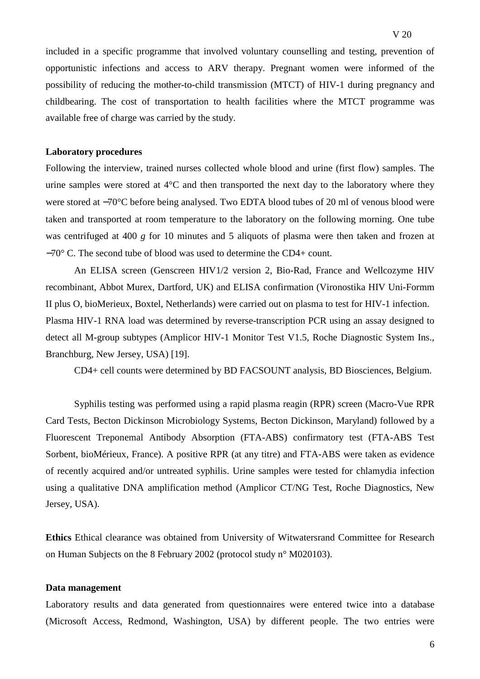opportunistic infections and access to ARV therapy. Pregnant women were informed of the possibility of reducing the mother-to-child transmission (MTCT) of HIV-1 during pregnancy and childbearing. The cost of transportation to health facilities where the MTCT programme was available free of charge was carried by the study.

### **Laboratory procedures**

Following the interview, trained nurses collected whole blood and urine (first flow) samples. The urine samples were stored at 4°C and then transported the next day to the laboratory where they were stored at −70°C before being analysed. Two EDTA blood tubes of 20 ml of venous blood were taken and transported at room temperature to the laboratory on the following morning. One tube was centrifuged at 400 *g* for 10 minutes and 5 aliquots of plasma were then taken and frozen at −70° C. The second tube of blood was used to determine the CD4+ count.

An ELISA screen (Genscreen HIV1/2 version 2, Bio-Rad, France and Wellcozyme HIV recombinant, Abbot Murex, Dartford, UK) and ELISA confirmation (Vironostika HIV Uni-Formm II plus O, bioMerieux, Boxtel, Netherlands) were carried out on plasma to test for HIV-1 infection. Plasma HIV-1 RNA load was determined by reverse-transcription PCR using an assay designed to detect all M-group subtypes (Amplicor HIV-1 Monitor Test V1.5, Roche Diagnostic System Ins., Branchburg, New Jersey, USA) [19].

CD4+ cell counts were determined by BD FACSOUNT analysis, BD Biosciences, Belgium.

Syphilis testing was performed using a rapid plasma reagin (RPR) screen (Macro-Vue RPR Card Tests, Becton Dickinson Microbiology Systems, Becton Dickinson, Maryland) followed by a Fluorescent Treponemal Antibody Absorption (FTA-ABS) confirmatory test (FTA-ABS Test Sorbent, bioMérieux, France). A positive RPR (at any titre) and FTA-ABS were taken as evidence of recently acquired and/or untreated syphilis. Urine samples were tested for chlamydia infection using a qualitative DNA amplification method (Amplicor CT/NG Test, Roche Diagnostics, New Jersey, USA).

**Ethics** Ethical clearance was obtained from University of Witwatersrand Committee for Research on Human Subjects on the 8 February 2002 (protocol study n° M020103).

### **Data management**

Laboratory results and data generated from questionnaires were entered twice into a database (Microsoft Access, Redmond, Washington, USA) by different people. The two entries were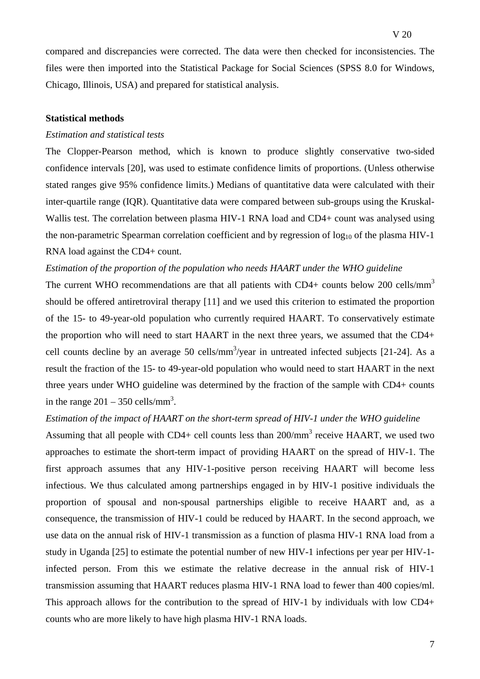compared and discrepancies were corrected. The data were then checked for inconsistencies. The files were then imported into the Statistical Package for Social Sciences (SPSS 8.0 for Windows, Chicago, Illinois, USA) and prepared for statistical analysis.

### **Statistical methods**

### *Estimation and statistical tests*

The Clopper-Pearson method, which is known to produce slightly conservative two-sided confidence intervals [20], was used to estimate confidence limits of proportions. (Unless otherwise stated ranges give 95% confidence limits.) Medians of quantitative data were calculated with their inter-quartile range (IQR). Quantitative data were compared between sub-groups using the Kruskal-Wallis test. The correlation between plasma HIV-1 RNA load and CD4+ count was analysed using the non-parametric Spearman correlation coefficient and by regression of  $log_{10}$  of the plasma HIV-1 RNA load against the CD4+ count.

### *Estimation of the proportion of the population who needs HAART under the WHO guideline*

The current WHO recommendations are that all patients with  $CD4+$  counts below 200 cells/mm<sup>3</sup> should be offered antiretroviral therapy [11] and we used this criterion to estimated the proportion of the 15- to 49-year-old population who currently required HAART. To conservatively estimate the proportion who will need to start HAART in the next three years, we assumed that the CD4+ cell counts decline by an average 50 cells/ $mm<sup>3</sup>/year$  in untreated infected subjects [21-24]. As a result the fraction of the 15- to 49-year-old population who would need to start HAART in the next three years under WHO guideline was determined by the fraction of the sample with CD4+ counts in the range  $201 - 350$  cells/mm<sup>3</sup>.

### *Estimation of the impact of HAART on the short-term spread of HIV-1 under the WHO guideline*

Assuming that all people with CD4+ cell counts less than  $200/\text{mm}^3$  receive HAART, we used two approaches to estimate the short-term impact of providing HAART on the spread of HIV-1. The first approach assumes that any HIV-1-positive person receiving HAART will become less infectious. We thus calculated among partnerships engaged in by HIV-1 positive individuals the proportion of spousal and non-spousal partnerships eligible to receive HAART and, as a consequence, the transmission of HIV-1 could be reduced by HAART. In the second approach, we use data on the annual risk of HIV-1 transmission as a function of plasma HIV-1 RNA load from a study in Uganda [25] to estimate the potential number of new HIV-1 infections per year per HIV-1 infected person. From this we estimate the relative decrease in the annual risk of HIV-1 transmission assuming that HAART reduces plasma HIV-1 RNA load to fewer than 400 copies/ml. This approach allows for the contribution to the spread of HIV-1 by individuals with low CD4+ counts who are more likely to have high plasma HIV-1 RNA loads.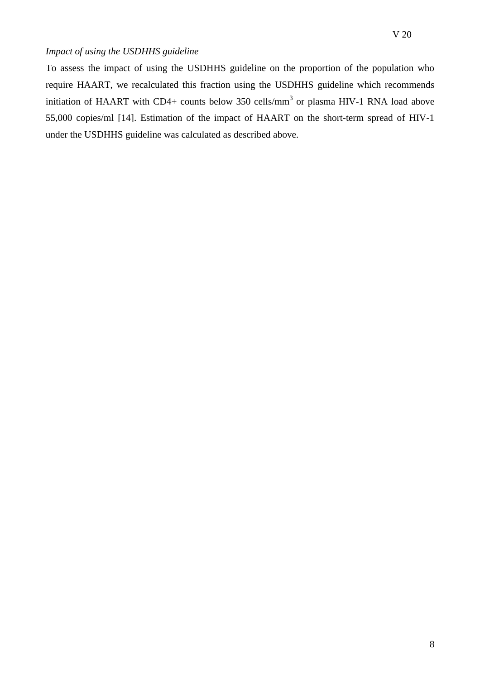### *Impact of using the USDHHS guideline*

To assess the impact of using the USDHHS guideline on the proportion of the population who require HAART, we recalculated this fraction using the USDHHS guideline which recommends initiation of HAART with CD4+ counts below 350 cells/mm<sup>3</sup> or plasma HIV-1 RNA load above 55,000 copies/ml [14]. Estimation of the impact of HAART on the short-term spread of HIV-1 under the USDHHS guideline was calculated as described above.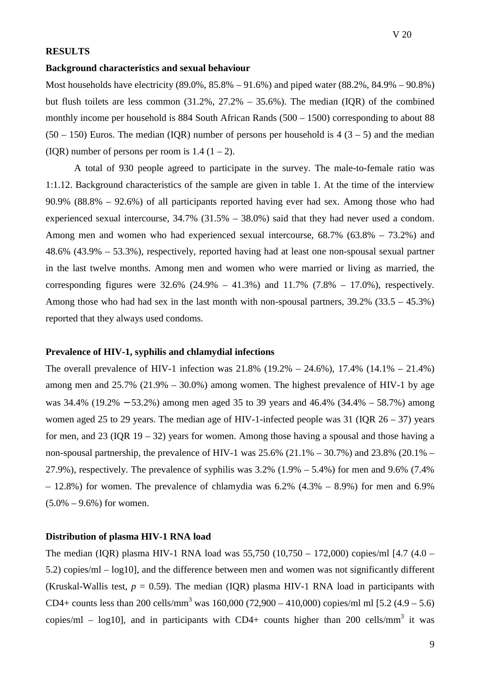### **RESULTS**

### **Background characteristics and sexual behaviour**

Most households have electricity (89.0%, 85.8% – 91.6%) and piped water (88.2%, 84.9% – 90.8%) but flush toilets are less common  $(31.2\%, 27.2\% - 35.6\%)$ . The median  $(IQR)$  of the combined monthly income per household is 884 South African Rands (500 – 1500) corresponding to about 88  $(50 - 150)$  Euros. The median (IQR) number of persons per household is 4 (3 – 5) and the median (IOR) number of persons per room is  $1.4$  ( $1 - 2$ ).

 A total of 930 people agreed to participate in the survey. The male-to-female ratio was 1:1.12. Background characteristics of the sample are given in table 1. At the time of the interview 90.9% (88.8% – 92.6%) of all participants reported having ever had sex. Among those who had experienced sexual intercourse, 34.7% (31.5% – 38.0%) said that they had never used a condom. Among men and women who had experienced sexual intercourse, 68.7% (63.8% – 73.2%) and 48.6% (43.9% – 53.3%), respectively, reported having had at least one non-spousal sexual partner in the last twelve months. Among men and women who were married or living as married, the corresponding figures were  $32.6\%$  (24.9% – 41.3%) and  $11.7\%$  (7.8% – 17.0%), respectively. Among those who had had sex in the last month with non-spousal partners,  $39.2\%$  ( $33.5 - 45.3\%$ ) reported that they always used condoms.

### **Prevalence of HIV-1, syphilis and chlamydial infections**

The overall prevalence of HIV-1 infection was 21.8% (19.2% – 24.6%), 17.4% (14.1% – 21.4%) among men and  $25.7\%$  (21.9% – 30.0%) among women. The highest prevalence of HIV-1 by age was 34.4% (19.2% − 53.2%) among men aged 35 to 39 years and 46.4% (34.4% – 58.7%) among women aged 25 to 29 years. The median age of HIV-1-infected people was 31 (IQR  $26 - 37$ ) years for men, and 23 (IQR 19 – 32) years for women. Among those having a spousal and those having a non-spousal partnership, the prevalence of HIV-1 was  $25.6\%$  (21.1% – 30.7%) and  $23.8\%$  (20.1% – 27.9%), respectively. The prevalence of syphilis was  $3.2\%$  (1.9% – 5.4%) for men and 9.6% (7.4%)  $-12.8\%$ ) for women. The prevalence of chlamydia was  $6.2\%$  (4.3% – 8.9%) for men and 6.9%  $(5.0\% - 9.6\%)$  for women.

### **Distribution of plasma HIV-1 RNA load**

The median (IQR) plasma HIV-1 RNA load was 55,750 (10,750 – 172,000) copies/ml [4.7 (4.0 – 5.2) copies/ml – log10], and the difference between men and women was not significantly different (Kruskal-Wallis test,  $p = 0.59$ ). The median (IQR) plasma HIV-1 RNA load in participants with CD4+ counts less than 200 cells/mm<sup>3</sup> was 160,000 (72,900 – 410,000) copies/ml ml [5.2 (4.9 – 5.6) copies/ml – log10], and in participants with CD4+ counts higher than 200 cells/mm<sup>3</sup> it was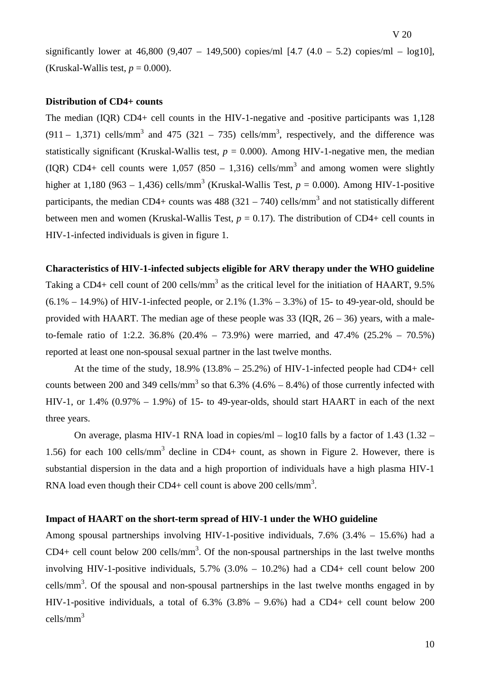significantly lower at  $46,800 (9,407 - 149,500)$  copies/ml  $[4.7 (4.0 - 5.2)$  copies/ml  $-$  log10], (Kruskal-Wallis test,  $p = 0.000$ ).

### **Distribution of CD4+ counts**

The median (IQR) CD4+ cell counts in the HIV-1-negative and -positive participants was 1,128  $(911 - 1,371)$  cells/mm<sup>3</sup> and 475 (321 – 735) cells/mm<sup>3</sup>, respectively, and the difference was statistically significant (Kruskal-Wallis test,  $p = 0.000$ ). Among HIV-1-negative men, the median (IQR) CD4+ cell counts were 1,057 (850 – 1,316) cells/mm<sup>3</sup> and among women were slightly higher at 1,180 (963 – 1,436) cells/mm<sup>3</sup> (Kruskal-Wallis Test,  $p = 0.000$ ). Among HIV-1-positive participants, the median CD4+ counts was  $488 (321 - 740)$  cells/mm<sup>3</sup> and not statistically different between men and women (Kruskal-Wallis Test,  $p = 0.17$ ). The distribution of CD4+ cell counts in HIV-1-infected individuals is given in figure 1.

### **Characteristics of HIV-1-infected subjects eligible for ARV therapy under the WHO guideline**

Taking a CD4+ cell count of 200 cells/mm<sup>3</sup> as the critical level for the initiation of HAART, 9.5%  $(6.1\% - 14.9\%)$  of HIV-1-infected people, or 2.1%  $(1.3\% - 3.3\%)$  of 15- to 49-year-old, should be provided with HAART. The median age of these people was  $33$  (IQR,  $26 - 36$ ) years, with a maleto-female ratio of 1:2.2. 36.8% (20.4% – 73.9%) were married, and 47.4% (25.2% – 70.5%) reported at least one non-spousal sexual partner in the last twelve months.

At the time of the study,  $18.9\%$  ( $13.8\%$  –  $25.2\%$ ) of HIV-1-infected people had CD4+ cell counts between 200 and 349 cells/mm<sup>3</sup> so that 6.3%  $(4.6% - 8.4%)$  of those currently infected with HIV-1, or 1.4%  $(0.97\% - 1.9\%)$  of 15- to 49-year-olds, should start HAART in each of the next three years.

 On average, plasma HIV-1 RNA load in copies/ml – log10 falls by a factor of 1.43 (1.32 – 1.56) for each 100 cells/mm<sup>3</sup> decline in CD4+ count, as shown in Figure 2. However, there is substantial dispersion in the data and a high proportion of individuals have a high plasma HIV-1 RNA load even though their CD4+ cell count is above 200 cells/mm<sup>3</sup>.

### **Impact of HAART on the short-term spread of HIV-1 under the WHO guideline**

Among spousal partnerships involving HIV-1-positive individuals, 7.6% (3.4% – 15.6%) had a  $CD4+$  cell count below 200 cells/mm<sup>3</sup>. Of the non-spousal partnerships in the last twelve months involving HIV-1-positive individuals,  $5.7\%$  (3.0% – 10.2%) had a CD4+ cell count below 200 cells/ $mm<sup>3</sup>$ . Of the spousal and non-spousal partnerships in the last twelve months engaged in by HIV-1-positive individuals, a total of  $6.3\%$   $(3.8\% - 9.6\%)$  had a CD4+ cell count below 200 cells/mm<sup>3</sup>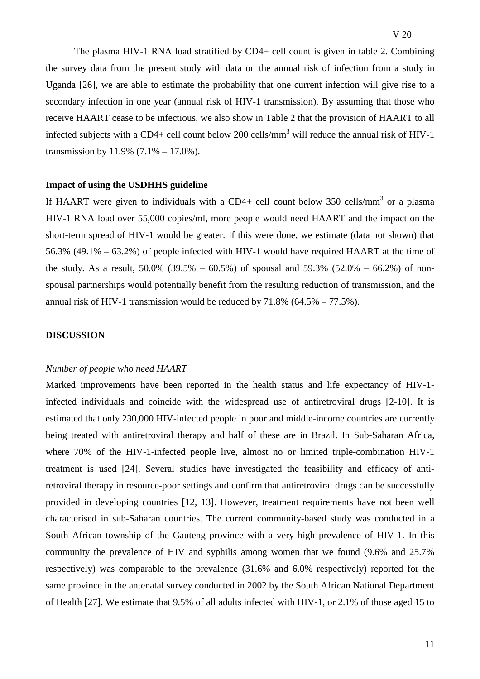The plasma HIV-1 RNA load stratified by CD4+ cell count is given in table 2. Combining the survey data from the present study with data on the annual risk of infection from a study in Uganda [26], we are able to estimate the probability that one current infection will give rise to a secondary infection in one year (annual risk of HIV-1 transmission). By assuming that those who receive HAART cease to be infectious, we also show in Table 2 that the provision of HAART to all infected subjects with a CD4+ cell count below 200 cells/mm<sup>3</sup> will reduce the annual risk of HIV-1 transmission by  $11.9\%$  (7.1% – 17.0%).

### **Impact of using the USDHHS guideline**

If HAART were given to individuals with a CD4+ cell count below 350 cells/mm<sup>3</sup> or a plasma HIV-1 RNA load over 55,000 copies/ml, more people would need HAART and the impact on the short-term spread of HIV-1 would be greater. If this were done, we estimate (data not shown) that 56.3% (49.1% – 63.2%) of people infected with HIV-1 would have required HAART at the time of the study. As a result,  $50.0\%$  (39.5% – 60.5%) of spousal and 59.3% (52.0% – 66.2%) of nonspousal partnerships would potentially benefit from the resulting reduction of transmission, and the annual risk of HIV-1 transmission would be reduced by  $71.8\%$  (64.5% –  $77.5\%$ ).

#### **DISCUSSION**

### *Number of people who need HAART*

Marked improvements have been reported in the health status and life expectancy of HIV-1 infected individuals and coincide with the widespread use of antiretroviral drugs [2-10]. It is estimated that only 230,000 HIV-infected people in poor and middle-income countries are currently being treated with antiretroviral therapy and half of these are in Brazil. In Sub-Saharan Africa, where 70% of the HIV-1-infected people live, almost no or limited triple-combination HIV-1 treatment is used [24]. Several studies have investigated the feasibility and efficacy of antiretroviral therapy in resource-poor settings and confirm that antiretroviral drugs can be successfully provided in developing countries [12, 13]. However, treatment requirements have not been well characterised in sub-Saharan countries. The current community-based study was conducted in a South African township of the Gauteng province with a very high prevalence of HIV-1. In this community the prevalence of HIV and syphilis among women that we found (9.6% and 25.7% respectively) was comparable to the prevalence (31.6% and 6.0% respectively) reported for the same province in the antenatal survey conducted in 2002 by the South African National Department of Health [27]. We estimate that 9.5% of all adults infected with HIV-1, or 2.1% of those aged 15 to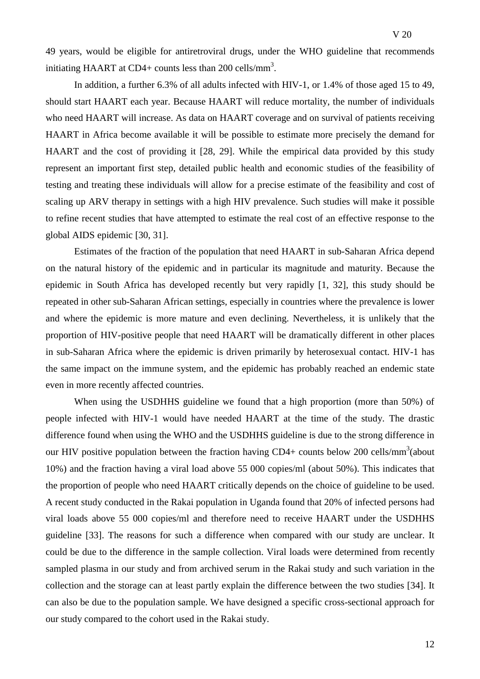49 years, would be eligible for antiretroviral drugs, under the WHO guideline that recommends initiating HAART at CD4+ counts less than 200 cells/mm<sup>3</sup>.

In addition, a further 6.3% of all adults infected with HIV-1, or 1.4% of those aged 15 to 49, should start HAART each year. Because HAART will reduce mortality, the number of individuals who need HAART will increase. As data on HAART coverage and on survival of patients receiving HAART in Africa become available it will be possible to estimate more precisely the demand for HAART and the cost of providing it [28, 29]. While the empirical data provided by this study represent an important first step, detailed public health and economic studies of the feasibility of testing and treating these individuals will allow for a precise estimate of the feasibility and cost of scaling up ARV therapy in settings with a high HIV prevalence. Such studies will make it possible to refine recent studies that have attempted to estimate the real cost of an effective response to the global AIDS epidemic [30, 31].

Estimates of the fraction of the population that need HAART in sub-Saharan Africa depend on the natural history of the epidemic and in particular its magnitude and maturity. Because the epidemic in South Africa has developed recently but very rapidly [1, 32], this study should be repeated in other sub-Saharan African settings, especially in countries where the prevalence is lower and where the epidemic is more mature and even declining. Nevertheless, it is unlikely that the proportion of HIV-positive people that need HAART will be dramatically different in other places in sub-Saharan Africa where the epidemic is driven primarily by heterosexual contact. HIV-1 has the same impact on the immune system, and the epidemic has probably reached an endemic state even in more recently affected countries.

When using the USDHHS guideline we found that a high proportion (more than 50%) of people infected with HIV-1 would have needed HAART at the time of the study. The drastic difference found when using the WHO and the USDHHS guideline is due to the strong difference in our HIV positive population between the fraction having  $CD4+$  counts below 200 cells/mm<sup>3</sup> (about 10%) and the fraction having a viral load above 55 000 copies/ml (about 50%). This indicates that the proportion of people who need HAART critically depends on the choice of guideline to be used. A recent study conducted in the Rakai population in Uganda found that 20% of infected persons had viral loads above 55 000 copies/ml and therefore need to receive HAART under the USDHHS guideline [33]. The reasons for such a difference when compared with our study are unclear. It could be due to the difference in the sample collection. Viral loads were determined from recently sampled plasma in our study and from archived serum in the Rakai study and such variation in the collection and the storage can at least partly explain the difference between the two studies [34]. It can also be due to the population sample. We have designed a specific cross-sectional approach for our study compared to the cohort used in the Rakai study.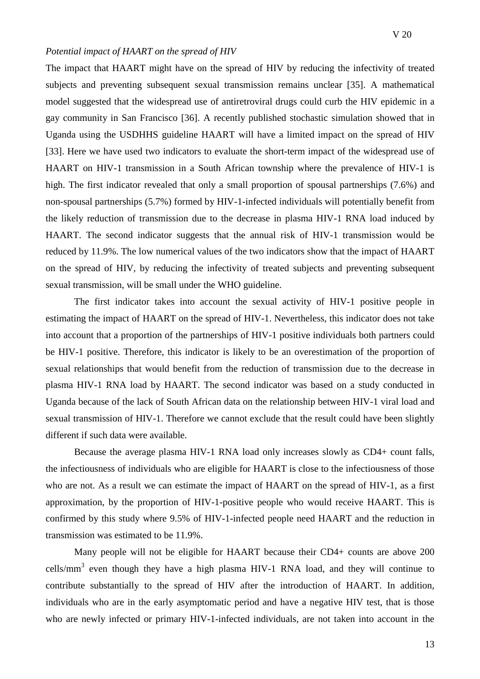#### *Potential impact of HAART on the spread of HIV*

The impact that HAART might have on the spread of HIV by reducing the infectivity of treated subjects and preventing subsequent sexual transmission remains unclear [35]. A mathematical model suggested that the widespread use of antiretroviral drugs could curb the HIV epidemic in a gay community in San Francisco [36]. A recently published stochastic simulation showed that in Uganda using the USDHHS guideline HAART will have a limited impact on the spread of HIV [33]. Here we have used two indicators to evaluate the short-term impact of the widespread use of HAART on HIV-1 transmission in a South African township where the prevalence of HIV-1 is high. The first indicator revealed that only a small proportion of spousal partnerships (7.6%) and non-spousal partnerships (5.7%) formed by HIV-1-infected individuals will potentially benefit from the likely reduction of transmission due to the decrease in plasma HIV-1 RNA load induced by HAART. The second indicator suggests that the annual risk of HIV-1 transmission would be reduced by 11.9%. The low numerical values of the two indicators show that the impact of HAART on the spread of HIV, by reducing the infectivity of treated subjects and preventing subsequent sexual transmission, will be small under the WHO guideline.

The first indicator takes into account the sexual activity of HIV-1 positive people in estimating the impact of HAART on the spread of HIV-1. Nevertheless, this indicator does not take into account that a proportion of the partnerships of HIV-1 positive individuals both partners could be HIV-1 positive. Therefore, this indicator is likely to be an overestimation of the proportion of sexual relationships that would benefit from the reduction of transmission due to the decrease in plasma HIV-1 RNA load by HAART. The second indicator was based on a study conducted in Uganda because of the lack of South African data on the relationship between HIV-1 viral load and sexual transmission of HIV-1. Therefore we cannot exclude that the result could have been slightly different if such data were available.

Because the average plasma HIV-1 RNA load only increases slowly as CD4+ count falls, the infectiousness of individuals who are eligible for HAART is close to the infectiousness of those who are not. As a result we can estimate the impact of HAART on the spread of HIV-1, as a first approximation, by the proportion of HIV-1-positive people who would receive HAART. This is confirmed by this study where 9.5% of HIV-1-infected people need HAART and the reduction in transmission was estimated to be 11.9%.

Many people will not be eligible for HAART because their CD4+ counts are above 200 cells/ $mm<sup>3</sup>$  even though they have a high plasma HIV-1 RNA load, and they will continue to contribute substantially to the spread of HIV after the introduction of HAART. In addition, individuals who are in the early asymptomatic period and have a negative HIV test, that is those who are newly infected or primary HIV-1-infected individuals, are not taken into account in the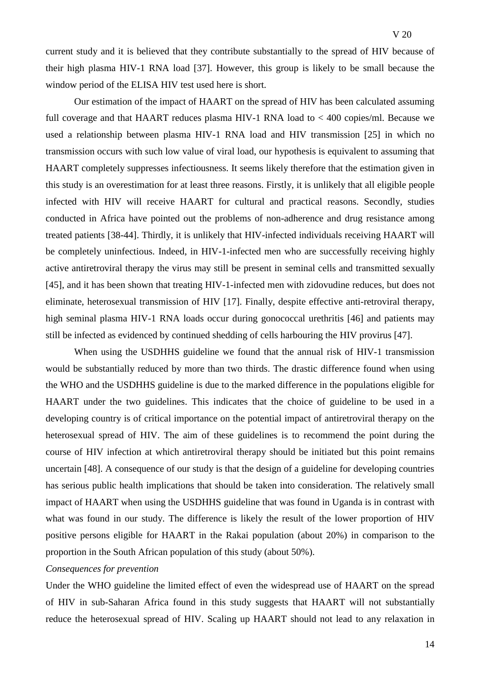current study and it is believed that they contribute substantially to the spread of HIV because of their high plasma HIV-1 RNA load [37]. However, this group is likely to be small because the window period of the ELISA HIV test used here is short.

Our estimation of the impact of HAART on the spread of HIV has been calculated assuming full coverage and that HAART reduces plasma HIV-1 RNA load to < 400 copies/ml. Because we used a relationship between plasma HIV-1 RNA load and HIV transmission [25] in which no transmission occurs with such low value of viral load, our hypothesis is equivalent to assuming that HAART completely suppresses infectiousness. It seems likely therefore that the estimation given in this study is an overestimation for at least three reasons. Firstly, it is unlikely that all eligible people infected with HIV will receive HAART for cultural and practical reasons. Secondly, studies conducted in Africa have pointed out the problems of non-adherence and drug resistance among treated patients [38-44]. Thirdly, it is unlikely that HIV-infected individuals receiving HAART will be completely uninfectious. Indeed, in HIV-1-infected men who are successfully receiving highly active antiretroviral therapy the virus may still be present in seminal cells and transmitted sexually [45], and it has been shown that treating HIV-1-infected men with zidovudine reduces, but does not eliminate, heterosexual transmission of HIV [17]. Finally, despite effective anti-retroviral therapy, high seminal plasma HIV-1 RNA loads occur during gonococcal urethritis [46] and patients may still be infected as evidenced by continued shedding of cells harbouring the HIV provirus [47].

When using the USDHHS guideline we found that the annual risk of HIV-1 transmission would be substantially reduced by more than two thirds. The drastic difference found when using the WHO and the USDHHS guideline is due to the marked difference in the populations eligible for HAART under the two guidelines. This indicates that the choice of guideline to be used in a developing country is of critical importance on the potential impact of antiretroviral therapy on the heterosexual spread of HIV. The aim of these guidelines is to recommend the point during the course of HIV infection at which antiretroviral therapy should be initiated but this point remains uncertain [48]. A consequence of our study is that the design of a guideline for developing countries has serious public health implications that should be taken into consideration. The relatively small impact of HAART when using the USDHHS guideline that was found in Uganda is in contrast with what was found in our study. The difference is likely the result of the lower proportion of HIV positive persons eligible for HAART in the Rakai population (about 20%) in comparison to the proportion in the South African population of this study (about 50%).

### *Consequences for prevention*

Under the WHO guideline the limited effect of even the widespread use of HAART on the spread of HIV in sub-Saharan Africa found in this study suggests that HAART will not substantially reduce the heterosexual spread of HIV. Scaling up HAART should not lead to any relaxation in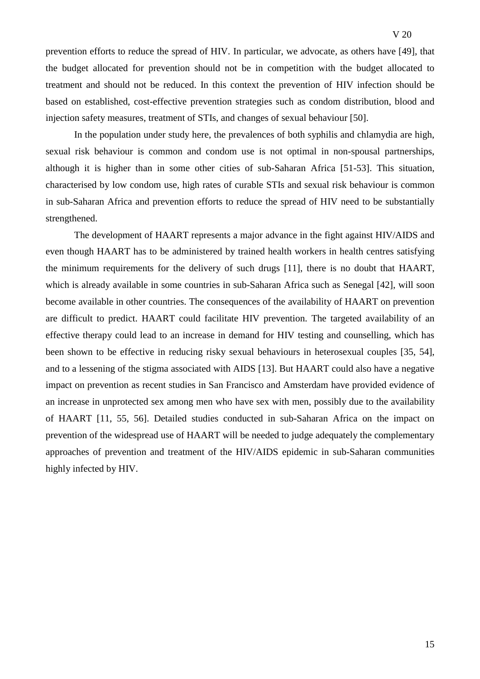prevention efforts to reduce the spread of HIV. In particular, we advocate, as others have [49], that the budget allocated for prevention should not be in competition with the budget allocated to treatment and should not be reduced. In this context the prevention of HIV infection should be based on established, cost-effective prevention strategies such as condom distribution, blood and injection safety measures, treatment of STIs, and changes of sexual behaviour [50].

In the population under study here, the prevalences of both syphilis and chlamydia are high, sexual risk behaviour is common and condom use is not optimal in non-spousal partnerships, although it is higher than in some other cities of sub-Saharan Africa [51-53]. This situation, characterised by low condom use, high rates of curable STIs and sexual risk behaviour is common in sub-Saharan Africa and prevention efforts to reduce the spread of HIV need to be substantially strengthened.

The development of HAART represents a major advance in the fight against HIV/AIDS and even though HAART has to be administered by trained health workers in health centres satisfying the minimum requirements for the delivery of such drugs [11], there is no doubt that HAART, which is already available in some countries in sub-Saharan Africa such as Senegal [42], will soon become available in other countries. The consequences of the availability of HAART on prevention are difficult to predict. HAART could facilitate HIV prevention. The targeted availability of an effective therapy could lead to an increase in demand for HIV testing and counselling, which has been shown to be effective in reducing risky sexual behaviours in heterosexual couples [35, 54], and to a lessening of the stigma associated with AIDS [13]. But HAART could also have a negative impact on prevention as recent studies in San Francisco and Amsterdam have provided evidence of an increase in unprotected sex among men who have sex with men, possibly due to the availability of HAART [11, 55, 56]. Detailed studies conducted in sub-Saharan Africa on the impact on prevention of the widespread use of HAART will be needed to judge adequately the complementary approaches of prevention and treatment of the HIV/AIDS epidemic in sub-Saharan communities highly infected by HIV.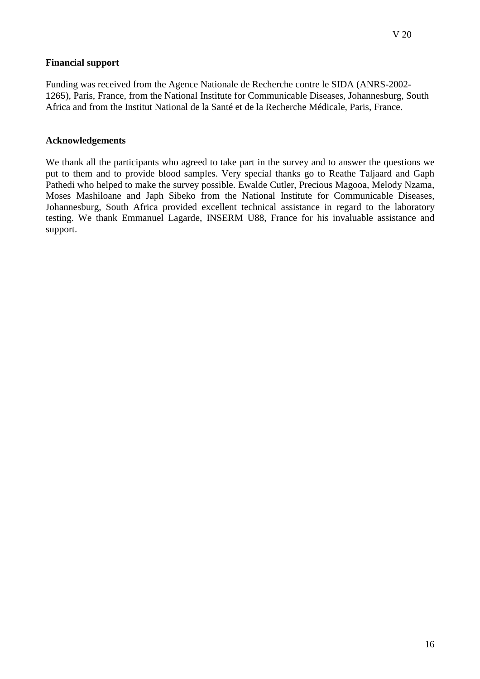### **Financial support**

Funding was received from the Agence Nationale de Recherche contre le SIDA (ANRS-2002- 1265), Paris, France, from the National Institute for Communicable Diseases, Johannesburg, South Africa and from the Institut National de la Santé et de la Recherche Médicale, Paris, France.

### **Acknowledgements**

We thank all the participants who agreed to take part in the survey and to answer the questions we put to them and to provide blood samples. Very special thanks go to Reathe Taljaard and Gaph Pathedi who helped to make the survey possible. Ewalde Cutler, Precious Magooa, Melody Nzama, Moses Mashiloane and Japh Sibeko from the National Institute for Communicable Diseases, Johannesburg, South Africa provided excellent technical assistance in regard to the laboratory testing. We thank Emmanuel Lagarde, INSERM U88, France for his invaluable assistance and support.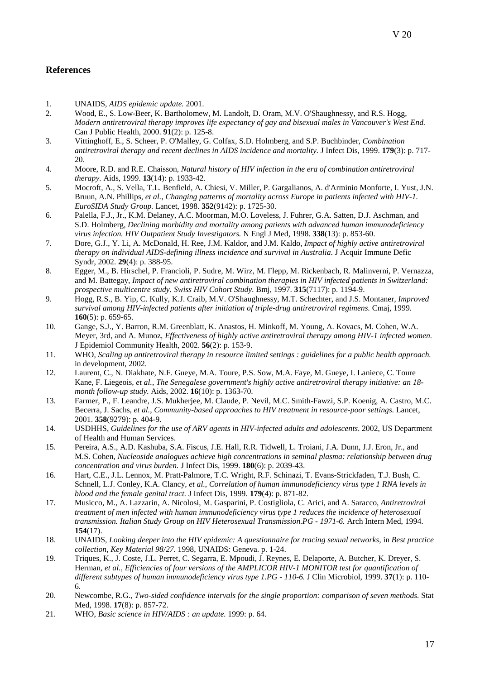- 1. UNAIDS, *AIDS epidemic update.* 2001.
- 2. Wood, E., S. Low-Beer, K. Bartholomew, M. Landolt, D. Oram, M.V. O'Shaughnessy, and R.S. Hogg, *Modern antiretroviral therapy improves life expectancy of gay and bisexual males in Vancouver's West End.* Can J Public Health, 2000. **91**(2): p. 125-8.
- 3. Vittinghoff, E., S. Scheer, P. O'Malley, G. Colfax, S.D. Holmberg, and S.P. Buchbinder, *Combination antiretroviral therapy and recent declines in AIDS incidence and mortality.* J Infect Dis, 1999. **179**(3): p. 717- 20.
- 4. Moore, R.D. and R.E. Chaisson, *Natural history of HIV infection in the era of combination antiretroviral therapy.* Aids, 1999. **13**(14): p. 1933-42.
- 5. Mocroft, A., S. Vella, T.L. Benfield, A. Chiesi, V. Miller, P. Gargalianos, A. d'Arminio Monforte, I. Yust, J.N. Bruun, A.N. Phillips*, et al.*, *Changing patterns of mortality across Europe in patients infected with HIV-1. EuroSIDA Study Group.* Lancet, 1998. **352**(9142): p. 1725-30.
- 6. Palella, F.J., Jr., K.M. Delaney, A.C. Moorman, M.O. Loveless, J. Fuhrer, G.A. Satten, D.J. Aschman, and S.D. Holmberg, *Declining morbidity and mortality among patients with advanced human immunodeficiency virus infection. HIV Outpatient Study Investigators.* N Engl J Med, 1998. **338**(13): p. 853-60.
- 7. Dore, G.J., Y. Li, A. McDonald, H. Ree, J.M. Kaldor, and J.M. Kaldo, *Impact of highly active antiretroviral therapy on individual AIDS-defining illness incidence and survival in Australia.* J Acquir Immune Defic Syndr, 2002. **29**(4): p. 388-95.
- 8. Egger, M., B. Hirschel, P. Francioli, P. Sudre, M. Wirz, M. Flepp, M. Rickenbach, R. Malinverni, P. Vernazza, and M. Battegay, *Impact of new antiretroviral combination therapies in HIV infected patients in Switzerland: prospective multicentre study. Swiss HIV Cohort Study.* Bmj, 1997. **315**(7117): p. 1194-9.
- 9. Hogg, R.S., B. Yip, C. Kully, K.J. Craib, M.V. O'Shaughnessy, M.T. Schechter, and J.S. Montaner, *Improved survival among HIV-infected patients after initiation of triple-drug antiretroviral regimens.* Cmaj, 1999. **160**(5): p. 659-65.
- 10. Gange, S.J., Y. Barron, R.M. Greenblatt, K. Anastos, H. Minkoff, M. Young, A. Kovacs, M. Cohen, W.A. Meyer, 3rd, and A. Munoz, *Effectiveness of highly active antiretroviral therapy among HIV-1 infected women.* J Epidemiol Community Health, 2002. **56**(2): p. 153-9.
- 11. WHO, *Scaling up antiretroviral therapy in resource limited settings : guidelines for a public health approach.* in development, 2002.
- 12. Laurent, C., N. Diakhate, N.F. Gueye, M.A. Toure, P.S. Sow, M.A. Faye, M. Gueye, I. Laniece, C. Toure Kane, F. Liegeois*, et al.*, *The Senegalese government's highly active antiretroviral therapy initiative: an 18 month follow-up study.* Aids, 2002. **16**(10): p. 1363-70.
- 13. Farmer, P., F. Leandre, J.S. Mukherjee, M. Claude, P. Nevil, M.C. Smith-Fawzi, S.P. Koenig, A. Castro, M.C. Becerra, J. Sachs*, et al.*, *Community-based approaches to HIV treatment in resource-poor settings.* Lancet, 2001. **358**(9279): p. 404-9.
- 14. USDHHS, *Guidelines for the use of ARV agents in HIV-infected adults and adolescents*. 2002, US Department of Health and Human Services.
- 15. Pereira, A.S., A.D. Kashuba, S.A. Fiscus, J.E. Hall, R.R. Tidwell, L. Troiani, J.A. Dunn, J.J. Eron, Jr., and M.S. Cohen, *Nucleoside analogues achieve high concentrations in seminal plasma: relationship between drug concentration and virus burden.* J Infect Dis, 1999. **180**(6): p. 2039-43.
- 16. Hart, C.E., J.L. Lennox, M. Pratt-Palmore, T.C. Wright, R.F. Schinazi, T. Evans-Strickfaden, T.J. Bush, C. Schnell, L.J. Conley, K.A. Clancy*, et al.*, *Correlation of human immunodeficiency virus type 1 RNA levels in blood and the female genital tract.* J Infect Dis, 1999. **179**(4): p. 871-82.
- 17. Musicco, M., A. Lazzarin, A. Nicolosi, M. Gasparini, P. Costigliola, C. Arici, and A. Saracco, *Antiretroviral treatment of men infected with human immunodeficiency virus type 1 reduces the incidence of heterosexual transmission. Italian Study Group on HIV Heterosexual Transmission.PG - 1971-6.* Arch Intern Med, 1994. **154**(17).
- 18. UNAIDS, *Looking deeper into the HIV epidemic: A questionnaire for tracing sexual networks*, in *Best practice collection, Key Material 98/27*. 1998, UNAIDS: Geneva. p. 1-24.
- 19. Triques, K., J. Coste, J.L. Perret, C. Segarra, E. Mpoudi, J. Reynes, E. Delaporte, A. Butcher, K. Dreyer, S. Herman*, et al.*, *Efficiencies of four versions of the AMPLICOR HIV-1 MONITOR test for quantification of different subtypes of human immunodeficiency virus type 1.PG - 110-6.* J Clin Microbiol, 1999. **37**(1): p. 110- 6.
- 20. Newcombe, R.G., *Two-sided confidence intervals for the single proportion: comparison of seven methods.* Stat Med, 1998. **17**(8): p. 857-72.
- 21. WHO, *Basic science in HIV/AIDS : an update.* 1999: p. 64.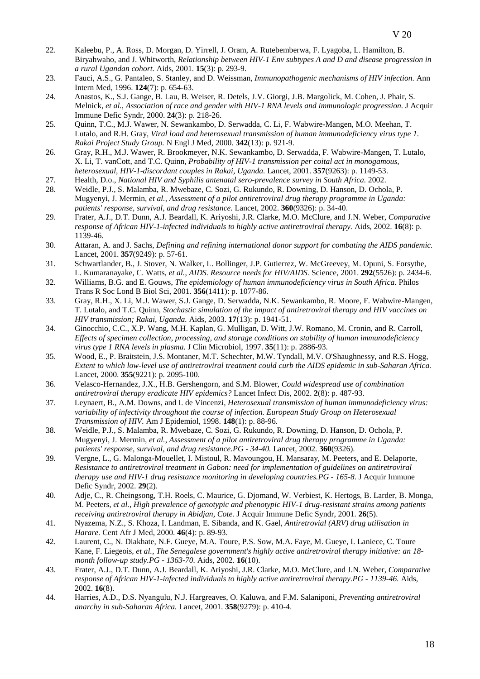- 22. Kaleebu, P., A. Ross, D. Morgan, D. Yirrell, J. Oram, A. Rutebemberwa, F. Lyagoba, L. Hamilton, B. Biryahwaho, and J. Whitworth, *Relationship between HIV-1 Env subtypes A and D and disease progression in a rural Ugandan cohort.* Aids, 2001. **15**(3): p. 293-9.
- 23. Fauci, A.S., G. Pantaleo, S. Stanley, and D. Weissman, *Immunopathogenic mechanisms of HIV infection.* Ann Intern Med, 1996. **124**(7): p. 654-63.
- 24. Anastos, K., S.J. Gange, B. Lau, B. Weiser, R. Detels, J.V. Giorgi, J.B. Margolick, M. Cohen, J. Phair, S. Melnick*, et al.*, *Association of race and gender with HIV-1 RNA levels and immunologic progression.* J Acquir Immune Defic Syndr, 2000. **24**(3): p. 218-26.
- 25. Quinn, T.C., M.J. Wawer, N. Sewankambo, D. Serwadda, C. Li, F. Wabwire-Mangen, M.O. Meehan, T. Lutalo, and R.H. Gray, *Viral load and heterosexual transmission of human immunodeficiency virus type 1. Rakai Project Study Group.* N Engl J Med, 2000. **342**(13): p. 921-9.
- 26. Gray, R.H., M.J. Wawer, R. Brookmeyer, N.K. Sewankambo, D. Serwadda, F. Wabwire-Mangen, T. Lutalo, X. Li, T. vanCott, and T.C. Quinn, *Probability of HIV-1 transmission per coital act in monogamous, heterosexual, HIV-1-discordant couples in Rakai, Uganda.* Lancet, 2001. **357**(9263): p. 1149-53.
- 27. Health, D.o., *National HIV and Syphilis antenatal sero-prevalence survey in South Africa.* 2002.
- 28. Weidle, P.J., S. Malamba, R. Mwebaze, C. Sozi, G. Rukundo, R. Downing, D. Hanson, D. Ochola, P. Mugyenyi, J. Mermin*, et al.*, *Assessment of a pilot antiretroviral drug therapy programme in Uganda: patients' response, survival, and drug resistance.* Lancet, 2002. **360**(9326): p. 34-40.
- 29. Frater, A.J., D.T. Dunn, A.J. Beardall, K. Ariyoshi, J.R. Clarke, M.O. McClure, and J.N. Weber, *Comparative response of African HIV-1-infected individuals to highly active antiretroviral therapy.* Aids, 2002. **16**(8): p. 1139-46.
- 30. Attaran, A. and J. Sachs, *Defining and refining international donor support for combating the AIDS pandemic.* Lancet, 2001. **357**(9249): p. 57-61.
- 31. Schwartlander, B., J. Stover, N. Walker, L. Bollinger, J.P. Gutierrez, W. McGreevey, M. Opuni, S. Forsythe, L. Kumaranayake, C. Watts*, et al.*, *AIDS. Resource needs for HIV/AIDS.* Science, 2001. **292**(5526): p. 2434-6.
- 32. Williams, B.G. and E. Gouws, *The epidemiology of human immunodeficiency virus in South Africa.* Philos Trans R Soc Lond B Biol Sci, 2001. **356**(1411): p. 1077-86.
- 33. Gray, R.H., X. Li, M.J. Wawer, S.J. Gange, D. Serwadda, N.K. Sewankambo, R. Moore, F. Wabwire-Mangen, T. Lutalo, and T.C. Quinn, *Stochastic simulation of the impact of antiretroviral therapy and HIV vaccines on HIV transmission; Rakai, Uganda.* Aids, 2003. **17**(13): p. 1941-51.
- 34. Ginocchio, C.C., X.P. Wang, M.H. Kaplan, G. Mulligan, D. Witt, J.W. Romano, M. Cronin, and R. Carroll, *Effects of specimen collection, processing, and storage conditions on stability of human immunodeficiency virus type 1 RNA levels in plasma.* J Clin Microbiol, 1997. **35**(11): p. 2886-93.
- 35. Wood, E., P. Braitstein, J.S. Montaner, M.T. Schechter, M.W. Tyndall, M.V. O'Shaughnessy, and R.S. Hogg, *Extent to which low-level use of antiretroviral treatment could curb the AIDS epidemic in sub-Saharan Africa.* Lancet, 2000. **355**(9221): p. 2095-100.
- 36. Velasco-Hernandez, J.X., H.B. Gershengorn, and S.M. Blower, *Could widespread use of combination antiretroviral therapy eradicate HIV epidemics?* Lancet Infect Dis, 2002. **2**(8): p. 487-93.
- 37. Leynaert, B., A.M. Downs, and I. de Vincenzi, *Heterosexual transmission of human immunodeficiency virus: variability of infectivity throughout the course of infection. European Study Group on Heterosexual Transmission of HIV.* Am J Epidemiol, 1998. **148**(1): p. 88-96.
- 38. Weidle, P.J., S. Malamba, R. Mwebaze, C. Sozi, G. Rukundo, R. Downing, D. Hanson, D. Ochola, P. Mugyenyi, J. Mermin*, et al.*, *Assessment of a pilot antiretroviral drug therapy programme in Uganda: patients' response, survival, and drug resistance.PG - 34-40.* Lancet, 2002. **360**(9326).
- 39. Vergne, L., G. Malonga-Mouellet, I. Mistoul, R. Mavoungou, H. Mansaray, M. Peeters, and E. Delaporte, *Resistance to antiretroviral treatment in Gabon: need for implementation of guidelines on antiretroviral therapy use and HIV-1 drug resistance monitoring in developing countries.PG - 165-8.* J Acquir Immune Defic Syndr, 2002. **29**(2).
- 40. Adje, C., R. Cheingsong, T.H. Roels, C. Maurice, G. Djomand, W. Verbiest, K. Hertogs, B. Larder, B. Monga, M. Peeters*, et al.*, *High prevalence of genotypic and phenotypic HIV-1 drug-resistant strains among patients receiving antiretroviral therapy in Abidjan, Cote.* J Acquir Immune Defic Syndr, 2001. **26**(5).
- 41. Nyazema, N.Z., S. Khoza, I. Landman, E. Sibanda, and K. Gael, *Antiretrovial (ARV) drug utilisation in Harare.* Cent Afr J Med, 2000. **46**(4): p. 89-93.
- 42. Laurent, C., N. Diakhate, N.F. Gueye, M.A. Toure, P.S. Sow, M.A. Faye, M. Gueye, I. Laniece, C. Toure Kane, F. Liegeois*, et al.*, *The Senegalese government's highly active antiretroviral therapy initiative: an 18 month follow-up study.PG - 1363-70.* Aids, 2002. **16**(10).
- 43. Frater, A.J., D.T. Dunn, A.J. Beardall, K. Ariyoshi, J.R. Clarke, M.O. McClure, and J.N. Weber, *Comparative response of African HIV-1-infected individuals to highly active antiretroviral therapy.PG - 1139-46.* Aids, 2002. **16**(8).
- 44. Harries, A.D., D.S. Nyangulu, N.J. Hargreaves, O. Kaluwa, and F.M. Salaniponi, *Preventing antiretroviral anarchy in sub-Saharan Africa.* Lancet, 2001. **358**(9279): p. 410-4.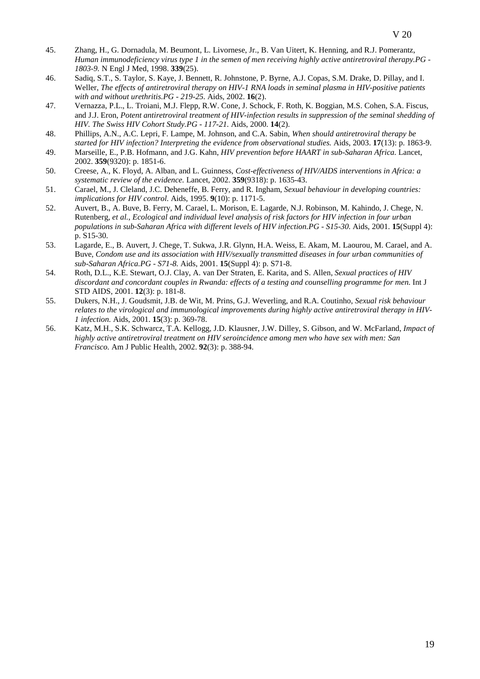- 45. Zhang, H., G. Dornadula, M. Beumont, L. Livornese, Jr., B. Van Uitert, K. Henning, and R.J. Pomerantz, *Human immunodeficiency virus type 1 in the semen of men receiving highly active antiretroviral therapy.PG - 1803-9.* N Engl J Med, 1998. **339**(25).
- 46. Sadiq, S.T., S. Taylor, S. Kaye, J. Bennett, R. Johnstone, P. Byrne, A.J. Copas, S.M. Drake, D. Pillay, and I. Weller, *The effects of antiretroviral therapy on HIV-1 RNA loads in seminal plasma in HIV-positive patients with and without urethritis.PG - 219-25.* Aids, 2002. **16**(2).
- 47. Vernazza, P.L., L. Troiani, M.J. Flepp, R.W. Cone, J. Schock, F. Roth, K. Boggian, M.S. Cohen, S.A. Fiscus, and J.J. Eron, *Potent antiretroviral treatment of HIV-infection results in suppression of the seminal shedding of HIV. The Swiss HIV Cohort Study.PG - 117-21.* Aids, 2000. **14**(2).
- 48. Phillips, A.N., A.C. Lepri, F. Lampe, M. Johnson, and C.A. Sabin, *When should antiretroviral therapy be started for HIV infection? Interpreting the evidence from observational studies.* Aids, 2003. **17**(13): p. 1863-9.
- 49. Marseille, E., P.B. Hofmann, and J.G. Kahn, *HIV prevention before HAART in sub-Saharan Africa.* Lancet, 2002. **359**(9320): p. 1851-6.
- 50. Creese, A., K. Floyd, A. Alban, and L. Guinness, *Cost-effectiveness of HIV/AIDS interventions in Africa: a systematic review of the evidence.* Lancet, 2002. **359**(9318): p. 1635-43.
- 51. Carael, M., J. Cleland, J.C. Deheneffe, B. Ferry, and R. Ingham, *Sexual behaviour in developing countries: implications for HIV control.* Aids, 1995. **9**(10): p. 1171-5.
- 52. Auvert, B., A. Buve, B. Ferry, M. Carael, L. Morison, E. Lagarde, N.J. Robinson, M. Kahindo, J. Chege, N. Rutenberg*, et al.*, *Ecological and individual level analysis of risk factors for HIV infection in four urban populations in sub-Saharan Africa with different levels of HIV infection.PG - S15-30.* Aids, 2001. **15**(Suppl 4): p. S15-30.
- 53. Lagarde, E., B. Auvert, J. Chege, T. Sukwa, J.R. Glynn, H.A. Weiss, E. Akam, M. Laourou, M. Carael, and A. Buve, *Condom use and its association with HIV/sexually transmitted diseases in four urban communities of sub-Saharan Africa.PG - S71-8.* Aids, 2001. **15**(Suppl 4): p. S71-8.
- 54. Roth, D.L., K.E. Stewart, O.J. Clay, A. van Der Straten, E. Karita, and S. Allen, *Sexual practices of HIV discordant and concordant couples in Rwanda: effects of a testing and counselling programme for men.* Int J STD AIDS, 2001. **12**(3): p. 181-8.
- 55. Dukers, N.H., J. Goudsmit, J.B. de Wit, M. Prins, G.J. Weverling, and R.A. Coutinho, *Sexual risk behaviour relates to the virological and immunological improvements during highly active antiretroviral therapy in HIV-1 infection.* Aids, 2001. **15**(3): p. 369-78.
- 56. Katz, M.H., S.K. Schwarcz, T.A. Kellogg, J.D. Klausner, J.W. Dilley, S. Gibson, and W. McFarland, *Impact of highly active antiretroviral treatment on HIV seroincidence among men who have sex with men: San Francisco.* Am J Public Health, 2002. **92**(3): p. 388-94.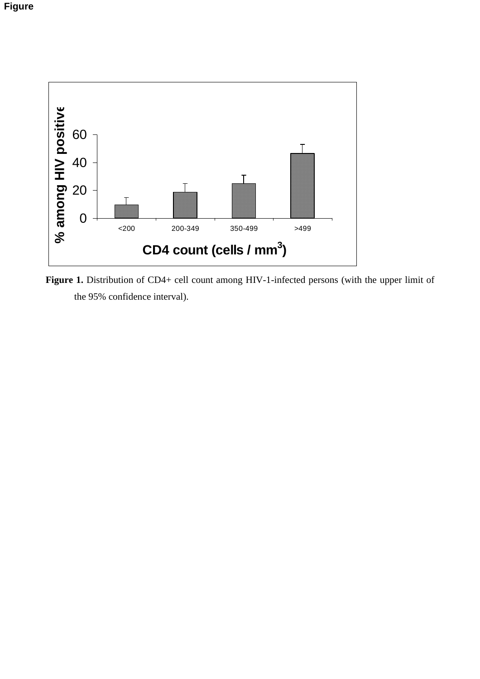

Figure 1. Distribution of CD4+ cell count among HIV-1-infected persons (with the upper limit of the 95% confidence interval).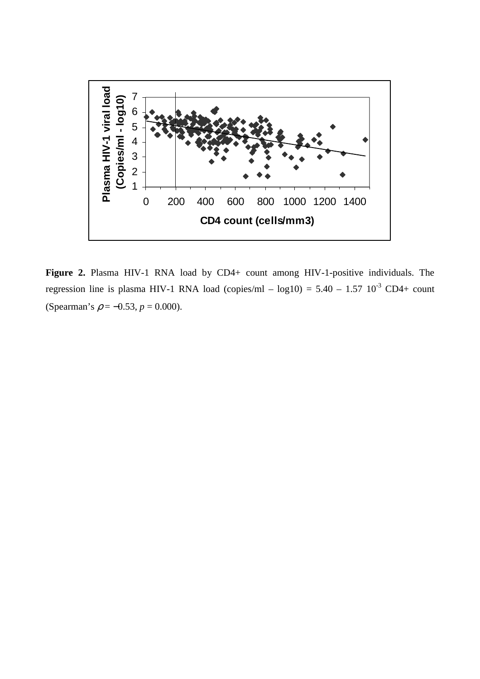

Figure 2. Plasma HIV-1 RNA load by CD4+ count among HIV-1-positive individuals. The regression line is plasma HIV-1 RNA load (copies/ml – log10) =  $5.40 - 1.57 \, 10^{-3} \, \text{CD}4 + \text{count}$ (Spearman's  $\rho = -0.53$ ,  $p = 0.000$ ).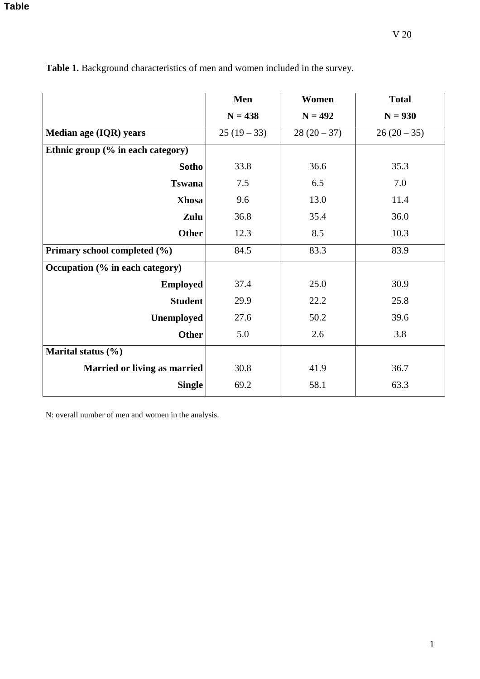|                                   | Men         | Women       | <b>Total</b> |
|-----------------------------------|-------------|-------------|--------------|
|                                   | $N = 438$   | $N = 492$   | $N = 930$    |
| Median age (IQR) years            | $25(19-33)$ | $28(20-37)$ | $26(20-35)$  |
| Ethnic group (% in each category) |             |             |              |
| <b>Sotho</b>                      | 33.8        | 36.6        | 35.3         |
| <b>Tswana</b>                     | 7.5         | 6.5         | 7.0          |
| <b>Xhosa</b>                      | 9.6         | 13.0        | 11.4         |
| Zulu                              | 36.8        | 35.4        | 36.0         |
| <b>Other</b>                      | 12.3        | 8.5         | 10.3         |
| Primary school completed (%)      | 84.5        | 83.3        | 83.9         |
| Occupation (% in each category)   |             |             |              |
| <b>Employed</b>                   | 37.4        | 25.0        | 30.9         |
| <b>Student</b>                    | 29.9        | 22.2        | 25.8         |
| <b>Unemployed</b>                 | 27.6        | 50.2        | 39.6         |
| <b>Other</b>                      | 5.0         | 2.6         | 3.8          |
| Marital status $(\% )$            |             |             |              |
| Married or living as married      | 30.8        | 41.9        | 36.7         |
| <b>Single</b>                     | 69.2        | 58.1        | 63.3         |

Table 1. Background characteristics of men and women included in the survey.

N: overall number of men and women in the analysis.